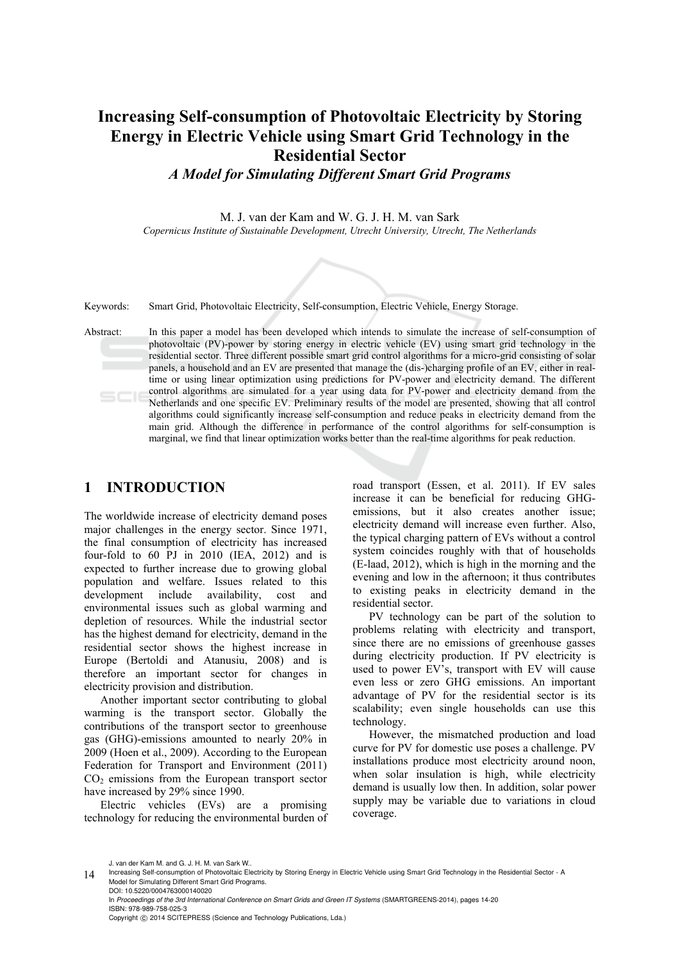# **Increasing Self-consumption of Photovoltaic Electricity by Storing Energy in Electric Vehicle using Smart Grid Technology in the Residential Sector**

*A Model for Simulating Different Smart Grid Programs* 

M. J. van der Kam and W. G. J. H. M. van Sark

*Copernicus Institute of Sustainable Development, Utrecht University, Utrecht, The Netherlands* 

Keywords: Smart Grid, Photovoltaic Electricity, Self-consumption, Electric Vehicle, Energy Storage.

Abstract: In this paper a model has been developed which intends to simulate the increase of self-consumption of photovoltaic (PV)-power by storing energy in electric vehicle (EV) using smart grid technology in the residential sector. Three different possible smart grid control algorithms for a micro-grid consisting of solar panels, a household and an EV are presented that manage the (dis-)charging profile of an EV, either in realtime or using linear optimization using predictions for PV-power and electricity demand. The different control algorithms are simulated for a year using data for PV-power and electricity demand from the Netherlands and one specific EV. Preliminary results of the model are presented, showing that all control algorithms could significantly increase self-consumption and reduce peaks in electricity demand from the main grid. Although the difference in performance of the control algorithms for self-consumption is marginal, we find that linear optimization works better than the real-time algorithms for peak reduction.

# **1 INTRODUCTION**

The worldwide increase of electricity demand poses major challenges in the energy sector. Since 1971, the final consumption of electricity has increased four-fold to 60 PJ in 2010 (IEA, 2012) and is expected to further increase due to growing global population and welfare. Issues related to this development include availability, cost and environmental issues such as global warming and depletion of resources. While the industrial sector has the highest demand for electricity, demand in the residential sector shows the highest increase in Europe (Bertoldi and Atanusiu, 2008) and is therefore an important sector for changes in electricity provision and distribution.

Another important sector contributing to global warming is the transport sector. Globally the contributions of the transport sector to greenhouse gas (GHG)-emissions amounted to nearly 20% in 2009 (Hoen et al., 2009). According to the European Federation for Transport and Environment (2011)  $CO<sub>2</sub>$  emissions from the European transport sector have increased by 29% since 1990.

Electric vehicles (EVs) are a promising technology for reducing the environmental burden of road transport (Essen, et al. 2011). If EV sales increase it can be beneficial for reducing GHGemissions, but it also creates another issue; electricity demand will increase even further. Also, the typical charging pattern of EVs without a control system coincides roughly with that of households (E-laad, 2012), which is high in the morning and the evening and low in the afternoon; it thus contributes to existing peaks in electricity demand in the residential sector.

PV technology can be part of the solution to problems relating with electricity and transport, since there are no emissions of greenhouse gasses during electricity production. If PV electricity is used to power EV's, transport with EV will cause even less or zero GHG emissions. An important advantage of PV for the residential sector is its scalability; even single households can use this technology.

However, the mismatched production and load curve for PV for domestic use poses a challenge. PV installations produce most electricity around noon, when solar insulation is high, while electricity demand is usually low then. In addition, solar power supply may be variable due to variations in cloud coverage.

J. van der Kam M. and G. J. H. M. van Sark W..

<sup>14</sup> Increasing Self-consumption of Photovoltaic Electricity by Storing Energy in Electric Vehicle using Smart Grid Technology in the Residential Sector - A<br>Model for Simulating Different Smart Grid Programs. DOI: 10.5220/0004763000140020

In *Proceedings of the 3rd International Conference on Smart Grids and Green IT Systems* (SMARTGREENS-2014), pages 14-20 ISBN: 978-989-758-025-3

Copyright (C) 2014 SCITEPRESS (Science and Technology Publications, Lda.)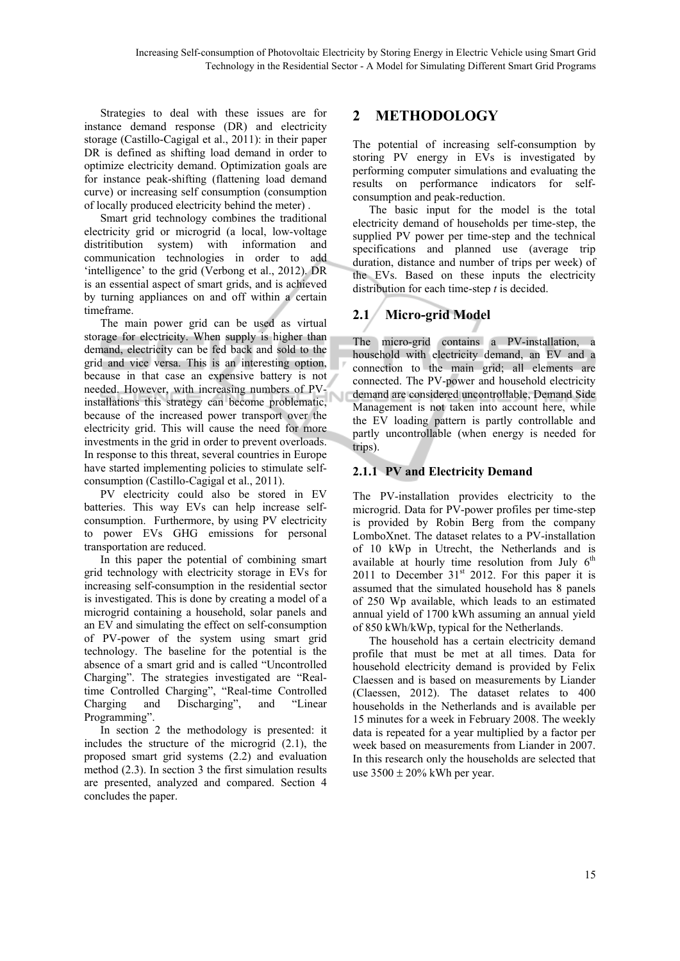Strategies to deal with these issues are for instance demand response (DR) and electricity storage (Castillo-Cagigal et al., 2011): in their paper DR is defined as shifting load demand in order to optimize electricity demand. Optimization goals are for instance peak-shifting (flattening load demand curve) or increasing self consumption (consumption of locally produced electricity behind the meter) .

Smart grid technology combines the traditional electricity grid or microgrid (a local, low-voltage distritibution system) with information and communication technologies in order to add 'intelligence' to the grid (Verbong et al., 2012). DR is an essential aspect of smart grids, and is achieved by turning appliances on and off within a certain timeframe.

The main power grid can be used as virtual storage for electricity. When supply is higher than demand, electricity can be fed back and sold to the grid and vice versa. This is an interesting option, because in that case an expensive battery is not needed. However, with increasing numbers of PVinstallations this strategy can become problematic, because of the increased power transport over the electricity grid. This will cause the need for more investments in the grid in order to prevent overloads. In response to this threat, several countries in Europe have started implementing policies to stimulate selfconsumption (Castillo-Cagigal et al., 2011).

PV electricity could also be stored in EV batteries. This way EVs can help increase selfconsumption. Furthermore, by using PV electricity to power EVs GHG emissions for personal transportation are reduced.

In this paper the potential of combining smart grid technology with electricity storage in EVs for increasing self-consumption in the residential sector is investigated. This is done by creating a model of a microgrid containing a household, solar panels and an EV and simulating the effect on self-consumption of PV-power of the system using smart grid technology. The baseline for the potential is the absence of a smart grid and is called "Uncontrolled Charging". The strategies investigated are "Realtime Controlled Charging", "Real-time Controlled Charging and Discharging", and "Linear Programming".

In section 2 the methodology is presented: it includes the structure of the microgrid (2.1), the proposed smart grid systems (2.2) and evaluation method (2.3). In section 3 the first simulation results are presented, analyzed and compared. Section 4 concludes the paper.

# **2 METHODOLOGY**

The potential of increasing self-consumption by storing PV energy in EVs is investigated by performing computer simulations and evaluating the results on performance indicators for selfconsumption and peak-reduction.

The basic input for the model is the total electricity demand of households per time-step, the supplied PV power per time-step and the technical specifications and planned use (average trip duration, distance and number of trips per week) of the EVs. Based on these inputs the electricity distribution for each time-step *t* is decided.

# **2.1 Micro-grid Model**

The micro-grid contains a PV-installation, a household with electricity demand, an EV and a connection to the main grid; all elements are connected. The PV-power and household electricity demand are considered uncontrollable, Demand Side Management is not taken into account here, while the EV loading pattern is partly controllable and partly uncontrollable (when energy is needed for trips).

### **2.1.1 PV and Electricity Demand**

The PV-installation provides electricity to the microgrid. Data for PV-power profiles per time-step is provided by Robin Berg from the company LomboXnet. The dataset relates to a PV-installation of 10 kWp in Utrecht, the Netherlands and is available at hourly time resolution from July  $6<sup>th</sup>$ 2011 to December  $31<sup>st</sup>$  2012. For this paper it is assumed that the simulated household has 8 panels of 250 Wp available, which leads to an estimated annual yield of 1700 kWh assuming an annual yield of 850 kWh/kWp, typical for the Netherlands.

The household has a certain electricity demand profile that must be met at all times. Data for household electricity demand is provided by Felix Claessen and is based on measurements by Liander (Claessen, 2012). The dataset relates to 400 households in the Netherlands and is available per 15 minutes for a week in February 2008. The weekly data is repeated for a year multiplied by a factor per week based on measurements from Liander in 2007. In this research only the households are selected that use  $3500 \pm 20\%$  kWh per year.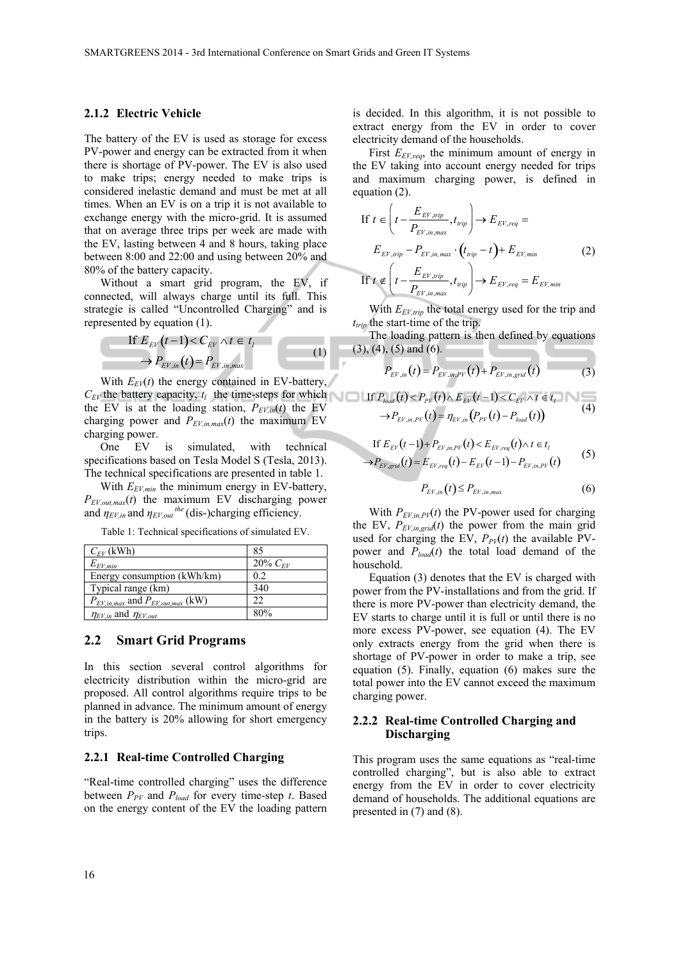#### **2.1.2 Electric Vehicle**

The battery of the EV is used as storage for excess PV-power and energy can be extracted from it when there is shortage of PV-power. The EV is also used to make trips; energy needed to make trips is considered inelastic demand and must be met at all times. When an EV is on a trip it is not available to exchange energy with the micro-grid. It is assumed that on average three trips per week are made with the EV, lasting between 4 and 8 hours, taking place between 8:00 and 22:00 and using between 20% and 80% of the battery capacity.

Without a smart grid program, the EV, if connected, will always charge until its full. This strategie is called "Uncontrolled Charging" and is represented by equation (1).

If 
$$
E_{EV}(t-1) < C_{EV} \land t \in t_l
$$
  
\n
$$
\rightarrow P_{EV,in}(t) = P_{EV,in,max} \tag{1}
$$

With  $E_{EV}(t)$  the energy contained in EV-battery,  $C_{EV}$  the battery capacity,  $t_l$  the time-steps for which the EV is at the loading station,  $P_{EV,in}(t)$  the EV charging power and  $P_{EV,in,max}(t)$  the maximum EV charging power.

One EV is simulated, with technical specifications based on Tesla Model S (Tesla, 2013). The technical specifications are presented in table 1.

With  $E_{EV,min}$  the minimum energy in EV-battery, *PEV,out,max*(*t*) the maximum EV discharging power and  $\eta_{EV,in}$  and  $\eta_{EV,out}$ <sup>the</sup> (dis-)charging efficiency.

Table 1: Technical specifications of simulated EV.

| $C_{EV}$ (kWh)                            | 85           |
|-------------------------------------------|--------------|
| $E_{EV,min}$                              | 20% $C_{FV}$ |
| Energy consumption (kWh/km)               | 0.2          |
| Typical range (km)                        | 340          |
| $P_{EV,in,max}$ and $P_{EV,out,max}$ (kW) | 22           |
| $\eta_{EV,in}$ and $\eta_{EV,out}$        | 80%          |

#### **2.2 Smart Grid Programs**

In this section several control algorithms for electricity distribution within the micro-grid are proposed. All control algorithms require trips to be planned in advance. The minimum amount of energy in the battery is 20% allowing for short emergency trips.

#### **2.2.1 Real-time Controlled Charging**

"Real-time controlled charging" uses the difference between  $P_{PV}$  and  $P_{load}$  for every time-step  $t$ . Based on the energy content of the EV the loading pattern

is decided. In this algorithm, it is not possible to extract energy from the EV in order to cover electricity demand of the households.

First *EEV,req*, the minimum amount of energy in the EV taking into account energy needed for trips and maximum charging power, is defined in equation (2).

If 
$$
t \in \left(t - \frac{E_{EV, trip}}{P_{EV,in,max}}, t_{trip}\right) \rightarrow E_{EV,req} =
$$
  
\n $E_{EV,trip} - P_{EV,in,max} \cdot (t_{trip} - t) + E_{EV,min}$  (2)  
\nIf  $t \notin \left(t - \frac{E_{EV,trip}}{P_{EV,in,max}}, t_{trip}\right) \rightarrow E_{EV,req} = E_{EV,min}$ 

With  $E_{EVLrin}$  the total energy used for the trip and  $t_{trin}$  the start-time of the trip.

The loading pattern is then defined by equations (3), (4), (5) and (6).

$$
P_{EV,in}(t) = P_{EV,in,PV}(t) + P_{EV,in,grid}(t)
$$
\n(3)

If 
$$
P_{load}(t) < P_{pV}(t) \wedge E_{EV}(t-1) < C_{EV} \wedge t \in t_{t}
$$
   
\n $\rightarrow P_{EV,in,PV}(t) = \eta_{EV,in}(P_{PV}(t) - P_{load}(t))$  (4)

If 
$$
E_{EV}(t-1) + P_{EV,im,PV}(t) < E_{EV,req}(t) \land t \in t_l
$$
  
\n $\rightarrow P_{EV,grid}(t) = E_{EV,req}(t) - E_{EV}(t-1) - P_{EV,im,PV}(t)$  (5)

$$
P_{EV,in}(t) \le P_{EV,in,max} \tag{6}
$$

With  $P_{EV,in,PV}(t)$  the PV-power used for charging the EV,  $P_{EV,in,grid}(t)$  the power from the main grid used for charging the EV,  $P_{PV}(t)$  the available PVpower and  $P_{load}(t)$  the total load demand of the household.

Equation (3) denotes that the EV is charged with power from the PV-installations and from the grid. If there is more PV-power than electricity demand, the EV starts to charge until it is full or until there is no more excess PV-power, see equation (4). The EV only extracts energy from the grid when there is shortage of PV-power in order to make a trip, see equation (5). Finally, equation (6) makes sure the total power into the EV cannot exceed the maximum charging power.

#### **2.2.2 Real-time Controlled Charging and Discharging**

This program uses the same equations as "real-time controlled charging", but is also able to extract energy from the EV in order to cover electricity demand of households. The additional equations are presented in (7) and (8).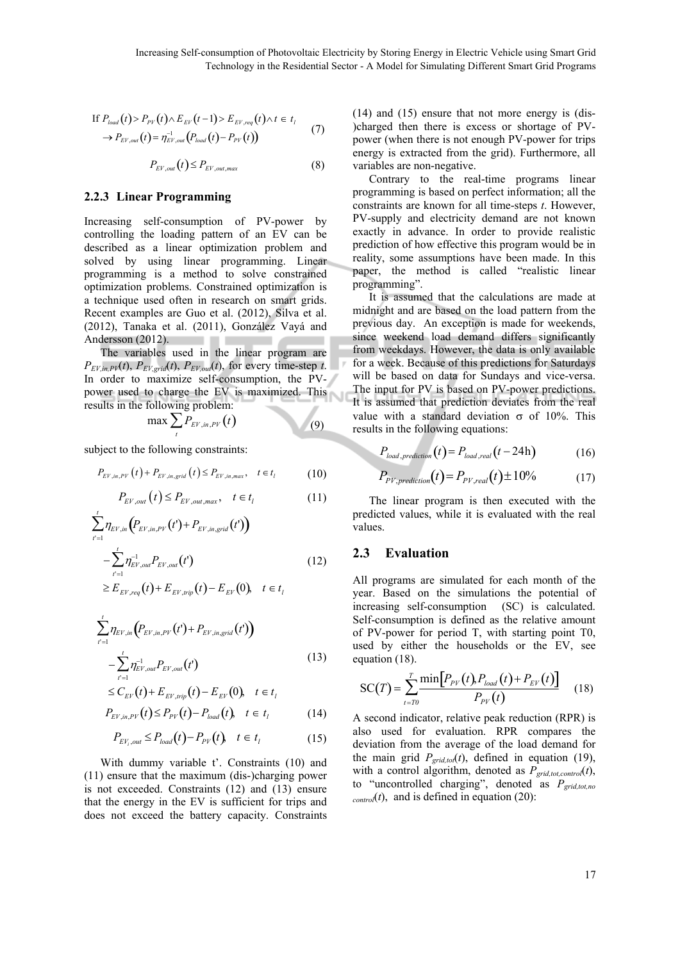If 
$$
P_{load}(t) > P_{PV}(t) \wedge E_{EV}(t-1) > E_{EV,req}(t) \wedge t \in t_i
$$
  
\n $\rightarrow P_{EV,out}(t) = \eta_{EV,out}^{-1}(P_{load}(t) - P_{PV}(t))$  (7)

$$
P_{EV,out}(t) \le P_{EV,out,max} \tag{8}
$$

#### **2.2.3 Linear Programming**

Increasing self-consumption of PV-power by controlling the loading pattern of an EV can be described as a linear optimization problem and solved by using linear programming. Linear programming is a method to solve constrained optimization problems. Constrained optimization is a technique used often in research on smart grids. Recent examples are Guo et al. (2012), Silva et al. (2012), Tanaka et al. (2011), González Vayá and Andersson (2012).

The variables used in the linear program are  $P_{EV,in,PV}(t)$ ,  $P_{EV,grid}(t)$ ,  $P_{EV,out}(t)$ , for every time-step *t*. In order to maximize self-consumption, the PVpower used to charge the EV is maximized. This results in the following problem: D

$$
\max \sum_{t} P_{EV,in,PV}(t) \tag{9}
$$

subject to the following constraints:

$$
P_{EV,in,PV}(t) + P_{EV,in,grid}(t) \le P_{EV,in,max}, \quad t \in t_1
$$
 (10)

$$
P_{EV,out}(t) \le P_{EV,out,max}, \quad t \in t_l \tag{11}
$$

$$
\sum_{t'=1}^{t} \eta_{EV,in} \left( P_{EV,in,PV} (t') + P_{EV,in,grid} (t') \right)
$$
  
- 
$$
\sum_{t'=1}^{t} \eta_{EV,out}^{-1} P_{EV,out} (t') \qquad (12)
$$

$$
\geq E_{EV,req}(t) + E_{EV,trip}(t) - E_{EV}(0), \quad t \in t_1
$$

$$
\sum_{t'=1}^{t} \eta_{EV,in} (P_{EV,in,PV}(t') + P_{EV,in,grid}(t')) - \sum_{t'=1}^{t} \eta_{EV,out}^{-1} P_{EV,out}(t')
$$
\n(13)

$$
\leq C_{EV}(t) + E_{EV, trip}(t) - E_{EV}(0), \quad t \in t_l
$$
  

$$
P_{EV,in,PV}(t) \leq P_{PV}(t) - P_{load}(t), \quad t \in t_l
$$
 (14)

$$
P_{EV_i,out} \le P_{load}(t) - P_{PV}(t), \quad t \in t_i \tag{15}
$$

With dummy variable t'. Constraints (10) and (11) ensure that the maximum (dis-)charging power is not exceeded. Constraints (12) and (13) ensure that the energy in the EV is sufficient for trips and does not exceed the battery capacity. Constraints (14) and (15) ensure that not more energy is (dis- )charged then there is excess or shortage of PVpower (when there is not enough PV-power for trips energy is extracted from the grid). Furthermore, all variables are non-negative.

Contrary to the real-time programs linear programming is based on perfect information; all the constraints are known for all time-steps *t*. However, PV-supply and electricity demand are not known exactly in advance. In order to provide realistic prediction of how effective this program would be in reality, some assumptions have been made. In this paper, the method is called "realistic linear programming".

It is assumed that the calculations are made at midnight and are based on the load pattern from the previous day. An exception is made for weekends, since weekend load demand differs significantly from weekdays. However, the data is only available for a week. Because of this predictions for Saturdays will be based on data for Sundays and vice-versa. The input for PV is based on PV-power predictions. It is assumed that prediction deviates from the real value with a standard deviation  $\sigma$  of 10%. This results in the following equations:

$$
P_{load, prediction}(t) = P_{load, real}(t - 24h)
$$
 (16)

$$
P_{PV, prediction}(t) = P_{PV, real}(t) \pm 10\% \tag{17}
$$

The linear program is then executed with the predicted values, while it is evaluated with the real values.

#### **2.3 Evaluation**

All programs are simulated for each month of the year. Based on the simulations the potential of increasing self-consumption (SC) is calculated. Self-consumption is defined as the relative amount of PV-power for period T, with starting point T0, used by either the households or the EV, see equation (18).

$$
SC(T) = \sum_{t = T0}^{T} \frac{\min[P_{PV}(t), P_{load}(t) + P_{EV}(t)]}{P_{PV}(t)}
$$
(18)

A second indicator, relative peak reduction (RPR) is also used for evaluation. RPR compares the deviation from the average of the load demand for the main grid  $P_{grid,tot}(t)$ , defined in equation (19), with a control algorithm, denoted as  $P_{grid\ to\ t\ control}(t)$ , to "uncontrolled charging", denoted as  $P_{grid, tot, no}$  $_{control}(t)$ , and is defined in equation (20):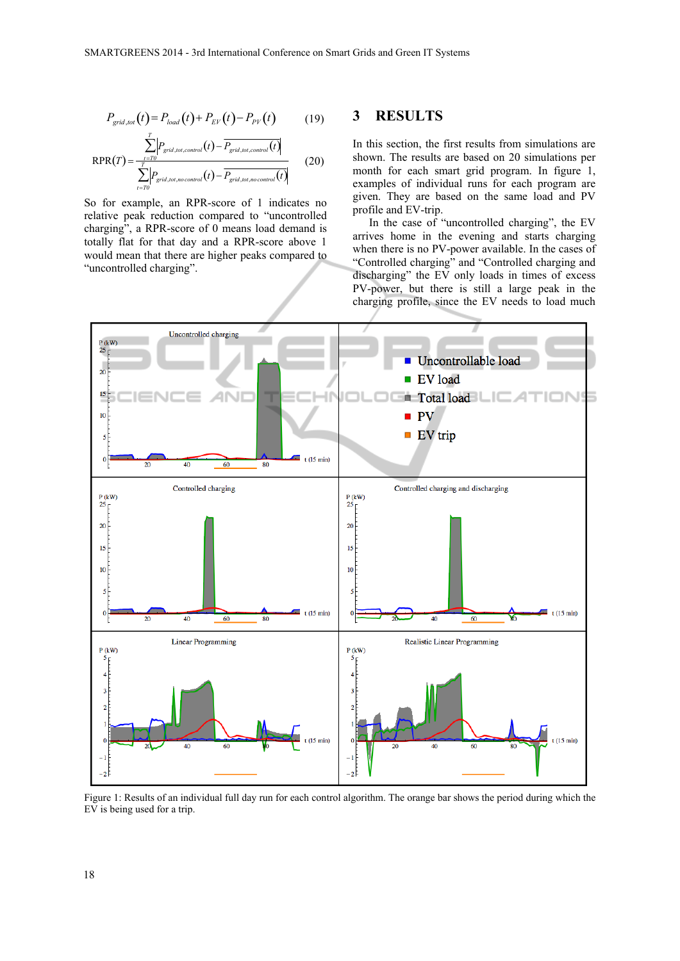$$
P_{grid, tot}(t) = P_{load}(t) + P_{EV}(t) - P_{PV}(t)
$$
 (19)

$$
RPR(T) = \frac{\sum_{t=70} |P_{grid, tot,control}(t) - \overline{P_{grid, tot,control}(t)}|}{\sum_{t=70}^{T} |P_{grid, tot, no control}(t) - \overline{P_{grid, tot, no control}(t)}|}
$$
(20)

So for example, an RPR-score of 1 indicates no relative peak reduction compared to "uncontrolled charging", a RPR-score of 0 means load demand is totally flat for that day and a RPR-score above 1 would mean that there are higher peaks compared to "uncontrolled charging".

#### **3 RESULTS**

In this section, the first results from simulations are shown. The results are based on 20 simulations per month for each smart grid program. In figure 1, examples of individual runs for each program are given. They are based on the same load and PV profile and EV-trip.

In the case of "uncontrolled charging", the EV arrives home in the evening and starts charging when there is no PV-power available. In the cases of "Controlled charging" and "Controlled charging and discharging" the EV only loads in times of excess PV-power, but there is still a large peak in the charging profile, since the EV needs to load much



Figure 1: Results of an individual full day run for each control algorithm. The orange bar shows the period during which the EV is being used for a trip.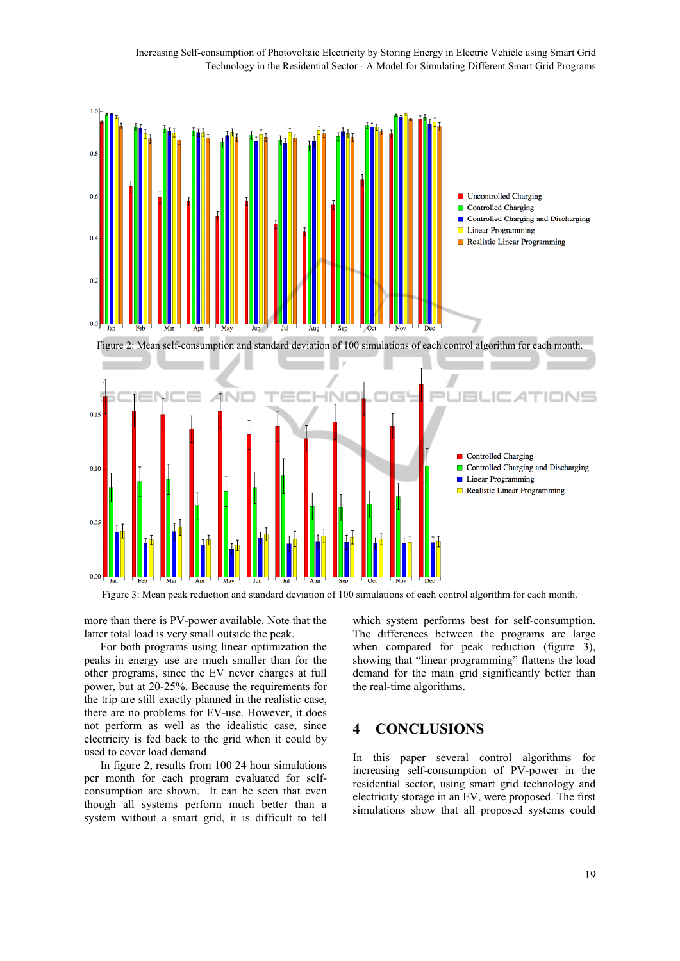Increasing Self-consumption of Photovoltaic Electricity by Storing Energy in Electric Vehicle using Smart Grid Technology in the Residential Sector - A Model for Simulating Different Smart Grid Programs



Figure 3: Mean peak reduction and standard deviation of 100 simulations of each control algorithm for each month.

more than there is PV-power available. Note that the latter total load is very small outside the peak.

For both programs using linear optimization the peaks in energy use are much smaller than for the other programs, since the EV never charges at full power, but at 20-25%. Because the requirements for the trip are still exactly planned in the realistic case, there are no problems for EV-use. However, it does not perform as well as the idealistic case, since electricity is fed back to the grid when it could by used to cover load demand.

In figure 2, results from 100 24 hour simulations per month for each program evaluated for selfconsumption are shown. It can be seen that even though all systems perform much better than a system without a smart grid, it is difficult to tell

which system performs best for self-consumption. The differences between the programs are large when compared for peak reduction (figure 3). showing that "linear programming" flattens the load demand for the main grid significantly better than the real-time algorithms.

# **4 CONCLUSIONS**

In this paper several control algorithms for increasing self-consumption of PV-power in the residential sector, using smart grid technology and electricity storage in an EV, were proposed. The first simulations show that all proposed systems could